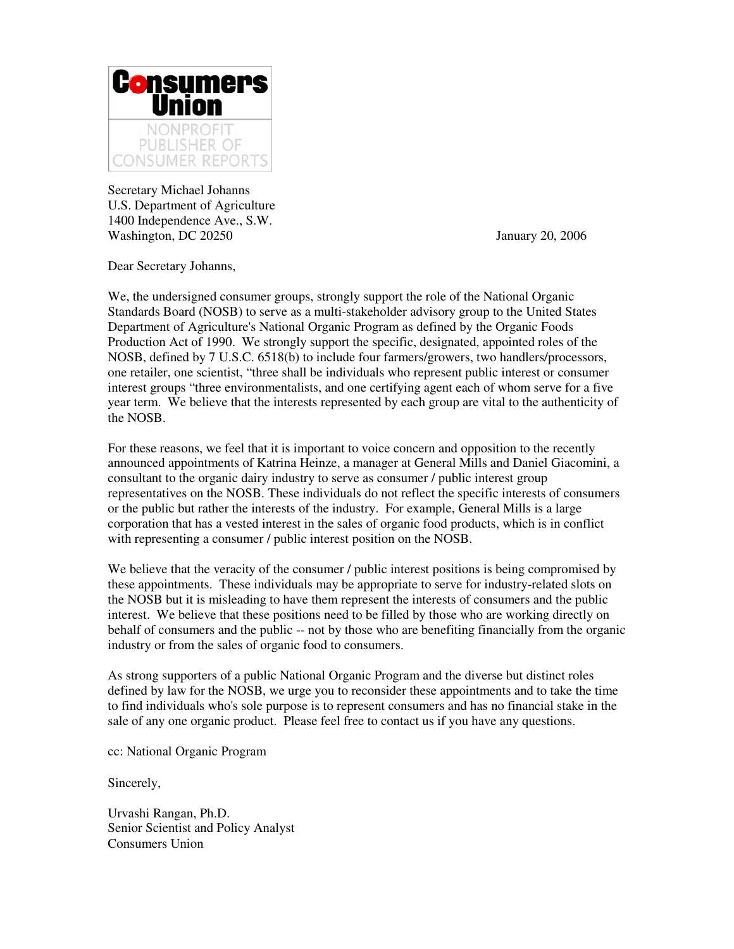

Secretary Michael Johanns U.S. Department of Agriculture 1400 Independence Ave., S.W. Washington, DC 20250 January 20, 2006

Dear Secretary Johanns,

We, the undersigned consumer groups, strongly support the role of the National Organic Standards Board (NOSB) to serve as a multi-stakeholder advisory group to the United States Department of Agriculture's National Organic Program as defined by the Organic Foods Production Act of 1990. We strongly support the specific, designated, appointed roles of the NOSB, defined by 7 U.S.C. 6518(b) to include four farmers/growers, two handlers/processors, one retailer, one scientist, "three shall be individuals who represent public interest or consumer interest groups "three environmentalists, and one certifying agent each of whom serve for a five year term. We believe that the interests represented by each group are vital to the authenticity of the NOSB.

For these reasons, we feel that it is important to voice concern and opposition to the recently announced appointments of Katrina Heinze, a manager at General Mills and Daniel Giacomini, a consultant to the organic dairy industry to serve as consumer / public interest group representatives on the NOSB. These individuals do not reflect the specific interests of consumers or the public but rather the interests of the industry. For example, General Mills is a large corporation that has a vested interest in the sales of organic food products, which is in conflict with representing a consumer / public interest position on the NOSB.

We believe that the veracity of the consumer / public interest positions is being compromised by these appointments. These individuals may be appropriate to serve for industry-related slots on the NOSB but it is misleading to have them represent the interests of consumers and the public interest. We believe that these positions need to be filled by those who are working directly on behalf of consumers and the public -- not by those who are benefiting financially from the organic industry or from the sales of organic food to consumers.

As strong supporters of a public National Organic Program and the diverse but distinct roles defined by law for the NOSB, we urge you to reconsider these appointments and to take the time to find individuals who's sole purpose is to represent consumers and has no financial stake in the sale of any one organic product. Please feel free to contact us if you have any questions.

cc: National Organic Program

Sincerely,

Urvashi Rangan, Ph.D. Senior Scientist and Policy Analyst Consumers Union